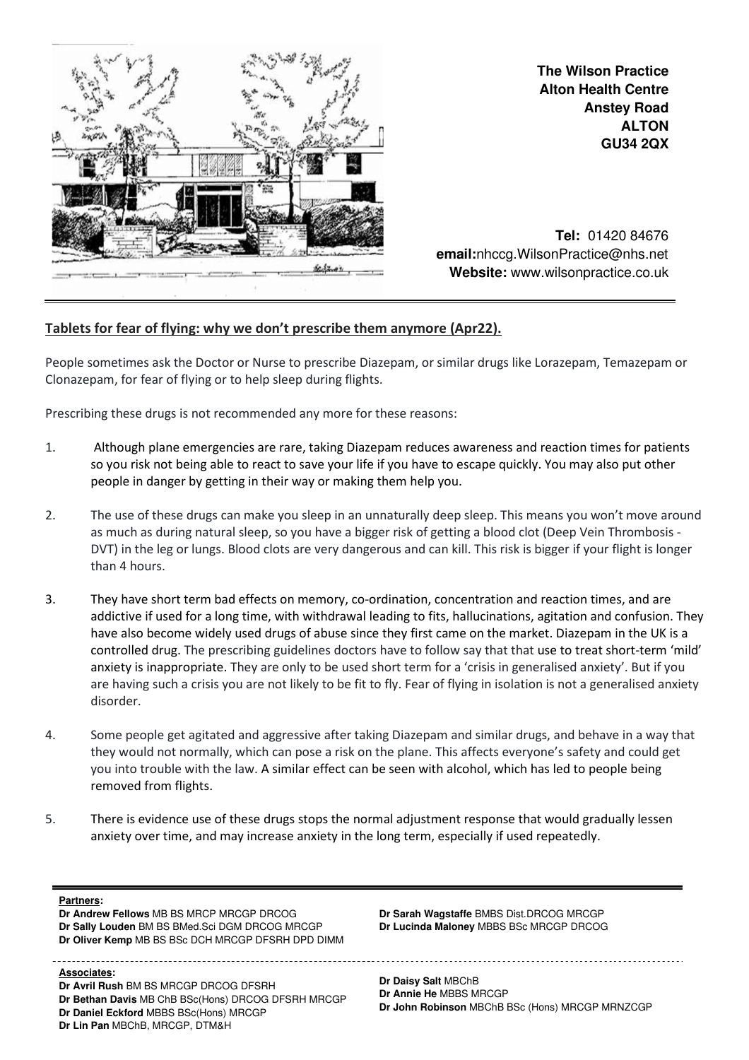

**The Wilson Practice Alton Health Centre Anstey Road ALTON GU34 2QX**

**Tel:** 01420 84676  **email:**nhccg.WilsonPractice@nhs.net **Website:** www.wilsonpractice.co.uk

## Tablets for fear of flying: why we don't prescribe them anymore (Apr22).

People sometimes ask the Doctor or Nurse to prescribe Diazepam, or similar drugs like Lorazepam, Temazepam or Clonazepam, for fear of flying or to help sleep during flights.

Prescribing these drugs is not recommended any more for these reasons:

- 1. Although plane emergencies are rare, taking Diazepam reduces awareness and reaction times for patients so you risk not being able to react to save your life if you have to escape quickly. You may also put other people in danger by getting in their way or making them help you.
- 2. The use of these drugs can make you sleep in an unnaturally deep sleep. This means you won't move around as much as during natural sleep, so you have a bigger risk of getting a blood clot (Deep Vein Thrombosis - DVT) in the leg or lungs. Blood clots are very dangerous and can kill. This risk is bigger if your flight is longer than 4 hours.
- 3. They have short term bad effects on memory, co-ordination, concentration and reaction times, and are addictive if used for a long time, with withdrawal leading to fits, hallucinations, agitation and confusion. They have also become widely used drugs of abuse since they first came on the market. Diazepam in the UK is a controlled drug. The prescribing guidelines doctors have to follow say that that use to treat short-term 'mild' anxiety is inappropriate. They are only to be used short term for a 'crisis in generalised anxiety'. But if you are having such a crisis you are not likely to be fit to fly. Fear of flying in isolation is not a generalised anxiety disorder.
- 4. Some people get agitated and aggressive after taking Diazepam and similar drugs, and behave in a way that they would not normally, which can pose a risk on the plane. This affects everyone's safety and could get you into trouble with the law. A similar effect can be seen with alcohol, which has led to people being removed from flights.
- 5. There is evidence use of these drugs stops the normal adjustment response that would gradually lessen anxiety over time, and may increase anxiety in the long term, especially if used repeatedly.

## **Partners:**

**Dr Andrew Fellows** MB BS MRCP MRCGP DRCOG **Dr Sally Louden** BM BS BMed.Sci DGM DRCOG MRCGP **Dr Oliver Kemp** MB BS BSc DCH MRCGP DFSRH DPD DIMM

**Associates: Dr Avril Rush BM BS MRCGP DRCOG DFSRH** 

**Dr Bethan Davis** MB ChB BSc(Hons) DRCOG DFSRH MRCGP **Dr Daniel Eckford** MBBS BSc(Hons) MRCGP **Dr Lin Pan** MBChB, MRCGP, DTM&H

**Dr Sarah Wagstaffe** BMBS Dist.DRCOG MRCGP **Dr Lucinda Maloney** MBBS BSc MRCGP DRCOG

**Dr Daisy Salt** MBChB **Dr Annie He** MBBS MRCGP **Dr John Robinson** MBChB BSc (Hons) MRCGP MRNZCGP